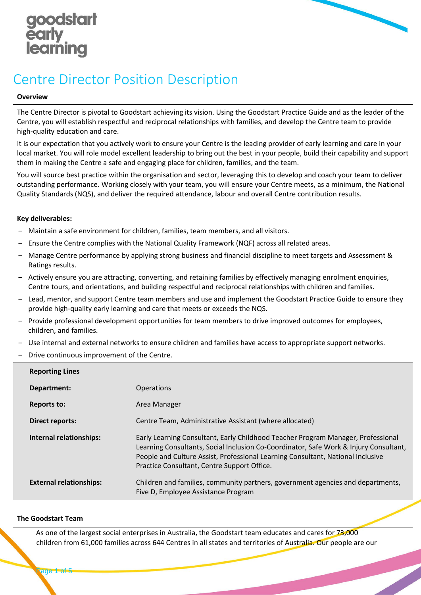



# Centre Director Position Description

### **Overview**

The Centre Director is pivotal to Goodstart achieving its vision. Using the Goodstart Practice Guide and as the leader of the Centre, you will establish respectful and reciprocal relationships with families, and develop the Centre team to provide high-quality education and care.

It is our expectation that you actively work to ensure your Centre is the leading provider of early learning and care in your local market. You will role model excellent leadership to bring out the best in your people, build their capability and support them in making the Centre a safe and engaging place for children, families, and the team.

You will source best practice within the organisation and sector, leveraging this to develop and coach your team to deliver outstanding performance. Working closely with your team, you will ensure your Centre meets, as a minimum, the National Quality Standards (NQS), and deliver the required attendance, labour and overall Centre contribution results.

## **Key deliverables:**

- ‒ Maintain a safe environment for children, families, team members, and all visitors.
- ‒ Ensure the Centre complies with the National Quality Framework (NQF) across all related areas.
- ‒ Manage Centre performance by applying strong business and financial discipline to meet targets and Assessment & Ratings results.
- ‒ Actively ensure you are attracting, converting, and retaining families by effectively managing enrolment enquiries, Centre tours, and orientations, and building respectful and reciprocal relationships with children and families.
- ‒ Lead, mentor, and support Centre team members and use and implement the Goodstart Practice Guide to ensure they provide high-quality early learning and care that meets or exceeds the NQS.
- ‒ Provide professional development opportunities for team members to drive improved outcomes for employees, children, and families.
- ‒ Use internal and external networks to ensure children and families have access to appropriate support networks.
- ‒ Drive continuous improvement of the Centre.

| <b>Reporting Lines</b>         |                                                                                                                                                                                                                                                                                                             |
|--------------------------------|-------------------------------------------------------------------------------------------------------------------------------------------------------------------------------------------------------------------------------------------------------------------------------------------------------------|
| Department:                    | <b>Operations</b>                                                                                                                                                                                                                                                                                           |
| <b>Reports to:</b>             | Area Manager                                                                                                                                                                                                                                                                                                |
| Direct reports:                | Centre Team, Administrative Assistant (where allocated)                                                                                                                                                                                                                                                     |
| Internal relationships:        | Early Learning Consultant, Early Childhood Teacher Program Manager, Professional<br>Learning Consultants, Social Inclusion Co-Coordinator, Safe Work & Injury Consultant,<br>People and Culture Assist, Professional Learning Consultant, National Inclusive<br>Practice Consultant, Centre Support Office. |
| <b>External relationships:</b> | Children and families, community partners, government agencies and departments,<br>Five D, Employee Assistance Program                                                                                                                                                                                      |

### **The Goodstart Team**

As one of the largest social enterprises in Australia, the Goodstart team educates and cares for 73,000 children from 61,000 families across 644 Centres in all states and territories of Australia. Our people are our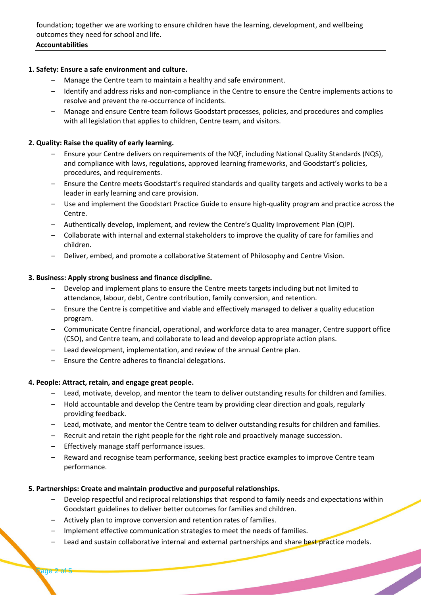foundation; together we are working to ensure children have the learning, development, and wellbeing outcomes they need for school and life.

# **Accountabilities**

# **1. Safety: Ensure a safe environment and culture.**

- Manage the Centre team to maintain a healthy and safe environment.
- ‒ Identify and address risks and non-compliance in the Centre to ensure the Centre implements actions to resolve and prevent the re-occurrence of incidents.
- ‒ Manage and ensure Centre team follows Goodstart processes, policies, and procedures and complies with all legislation that applies to children, Centre team, and visitors.

# **2. Quality: Raise the quality of early learning.**

- ‒ Ensure your Centre delivers on requirements of the NQF, including National Quality Standards (NQS), and compliance with laws, regulations, approved learning frameworks, and Goodstart's policies, procedures, and requirements.
- ‒ Ensure the Centre meets Goodstart's required standards and quality targets and actively works to be a leader in early learning and care provision.
- ‒ Use and implement the Goodstart Practice Guide to ensure high-quality program and practice across the Centre.
- ‒ Authentically develop, implement, and review the Centre's Quality Improvement Plan (QIP).
- ‒ Collaborate with internal and external stakeholders to improve the quality of care for families and children.
- ‒ Deliver, embed, and promote a collaborative Statement of Philosophy and Centre Vision.

# **3. Business: Apply strong business and finance discipline.**

- Develop and implement plans to ensure the Centre meets targets including but not limited to attendance, labour, debt, Centre contribution, family conversion, and retention.
- ‒ Ensure the Centre is competitive and viable and effectively managed to deliver a quality education program.
- ‒ Communicate Centre financial, operational, and workforce data to area manager, Centre support office (CSO), and Centre team, and collaborate to lead and develop appropriate action plans.
- Lead development, implementation, and review of the annual Centre plan.
- ‒ Ensure the Centre adheres to financial delegations.

# **4. People: Attract, retain, and engage great people.**

- ‒ Lead, motivate, develop, and mentor the team to deliver outstanding results for children and families.
- ‒ Hold accountable and develop the Centre team by providing clear direction and goals, regularly providing feedback.
- ‒ Lead, motivate, and mentor the Centre team to deliver outstanding results for children and families.
- ‒ Recruit and retain the right people for the right role and proactively manage succession.
- ‒ Effectively manage staff performance issues.
- ‒ Reward and recognise team performance, seeking best practice examples to improve Centre team performance.

# **5. Partnerships: Create and maintain productive and purposeful relationships.**

- ‒ Develop respectful and reciprocal relationships that respond to family needs and expectations within Goodstart guidelines to deliver better outcomes for families and children.
- Actively plan to improve conversion and retention rates of families.
- ‒ Implement effective communication strategies to meet the needs of families.
- Lead and sustain collaborative internal and external partnerships and share best practice models.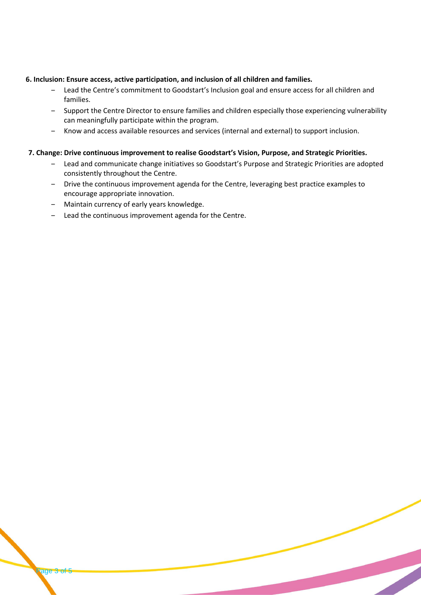### **6. Inclusion: Ensure access, active participation, and inclusion of all children and families.**

- Lead the Centre's commitment to Goodstart's Inclusion goal and ensure access for all children and families.
- ‒ Support the Centre Director to ensure families and children especially those experiencing vulnerability can meaningfully participate within the program.
- ‒ Know and access available resources and services (internal and external) to support inclusion.

## **7. Change: Drive continuous improvement to realise Goodstart's Vision, Purpose, and Strategic Priorities.**

- ‒ Lead and communicate change initiatives so Goodstart's Purpose and Strategic Priorities are adopted consistently throughout the Centre.
- ‒ Drive the continuous improvement agenda for the Centre, leveraging best practice examples to encourage appropriate innovation.
- Maintain currency of early years knowledge.

Page 3 of 5

- Lead the continuous improvement agenda for the Centre.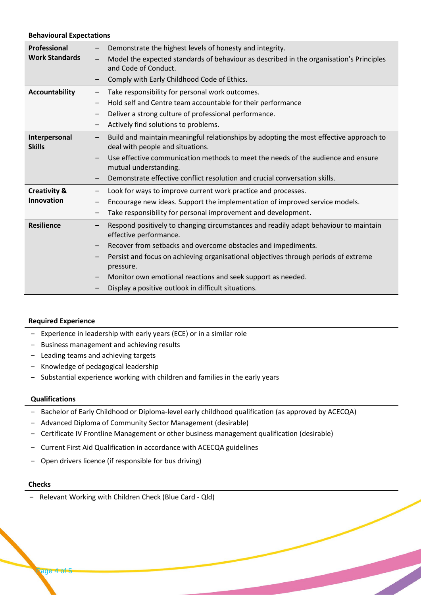#### **Behavioural Expectations**

| Professional            | Demonstrate the highest levels of honesty and integrity.                                                            |
|-------------------------|---------------------------------------------------------------------------------------------------------------------|
| <b>Work Standards</b>   | Model the expected standards of behaviour as described in the organisation's Principles<br>$\overline{\phantom{m}}$ |
|                         | and Code of Conduct.                                                                                                |
|                         | Comply with Early Childhood Code of Ethics.                                                                         |
| <b>Accountability</b>   | Take responsibility for personal work outcomes.                                                                     |
|                         | Hold self and Centre team accountable for their performance<br>$\qquad \qquad$                                      |
|                         | Deliver a strong culture of professional performance.                                                               |
|                         | Actively find solutions to problems.                                                                                |
| Interpersonal           | Build and maintain meaningful relationships by adopting the most effective approach to                              |
| <b>Skills</b>           | deal with people and situations.                                                                                    |
|                         | Use effective communication methods to meet the needs of the audience and ensure                                    |
|                         | mutual understanding.                                                                                               |
|                         | Demonstrate effective conflict resolution and crucial conversation skills.                                          |
| <b>Creativity &amp;</b> | Look for ways to improve current work practice and processes.                                                       |
| Innovation              | Encourage new ideas. Support the implementation of improved service models.                                         |
|                         | Take responsibility for personal improvement and development.<br>$\overline{\phantom{m}}$                           |
| <b>Resilience</b>       | Respond positively to changing circumstances and readily adapt behaviour to maintain<br>effective performance.      |
|                         | Recover from setbacks and overcome obstacles and impediments.                                                       |
|                         | Persist and focus on achieving organisational objectives through periods of extreme<br>pressure.                    |
|                         | Monitor own emotional reactions and seek support as needed.                                                         |
|                         | Display a positive outlook in difficult situations.                                                                 |
|                         |                                                                                                                     |

#### **Required Experience**

- Experience in leadership with early years (ECE) or in a similar role
- ‒ Business management and achieving results
- Leading teams and achieving targets
- ‒ Knowledge of pedagogical leadership
- Substantial experience working with children and families in the early years

### **Qualifications**

- Bachelor of Early Childhood or Diploma-level early childhood qualification (as approved by ACECQA)
- Advanced Diploma of Community Sector Management (desirable)
- Certificate IV Frontline Management or other business management qualification (desirable)
- Current First Aid Qualification in accordance with ACECQA guidelines
- Open drivers licence (if responsible for bus driving)

### **Checks**

- Relevant Working with Children Check (Blue Card - Qld)